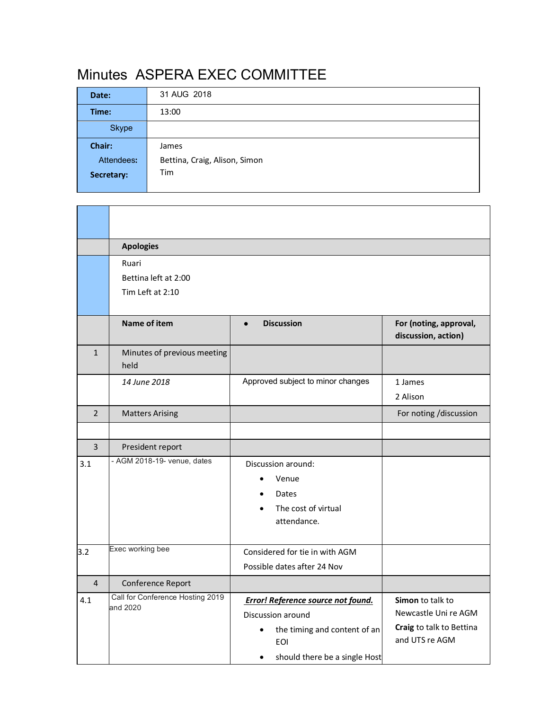## Minutes ASPERA EXEC COMMITTEE

| Date:      | 31 AUG 2018                   |
|------------|-------------------------------|
| Time:      | 13:00                         |
| Skype      |                               |
| Chair:     | James                         |
| Attendees: | Bettina, Craig, Alison, Simon |
| Secretary: | Tim                           |
|            |                               |
|            |                               |

|                | <b>Apologies</b>                             |                                                         |                                               |  |  |
|----------------|----------------------------------------------|---------------------------------------------------------|-----------------------------------------------|--|--|
|                | Ruari                                        |                                                         |                                               |  |  |
|                | Bettina left at 2:00                         |                                                         |                                               |  |  |
|                | Tim Left at 2:10                             |                                                         |                                               |  |  |
|                |                                              |                                                         |                                               |  |  |
|                | <b>Name of item</b>                          | <b>Discussion</b><br>$\bullet$                          | For (noting, approval,<br>discussion, action) |  |  |
| $\mathbf{1}$   | Minutes of previous meeting<br>held          |                                                         |                                               |  |  |
|                | 14 June 2018                                 | Approved subject to minor changes                       | 1 James                                       |  |  |
|                |                                              |                                                         | 2 Alison                                      |  |  |
| $\overline{2}$ | <b>Matters Arising</b>                       |                                                         | For noting /discussion                        |  |  |
|                |                                              |                                                         |                                               |  |  |
| $\overline{3}$ | President report                             |                                                         |                                               |  |  |
| 3.1            | - AGM 2018-19- venue, dates                  | Discussion around:                                      |                                               |  |  |
|                |                                              | Venue<br>$\bullet$                                      |                                               |  |  |
|                |                                              | Dates                                                   |                                               |  |  |
|                |                                              | The cost of virtual                                     |                                               |  |  |
|                |                                              | attendance.                                             |                                               |  |  |
|                | Exec working bee                             |                                                         |                                               |  |  |
| 3.2            |                                              | Considered for tie in with AGM                          |                                               |  |  |
|                |                                              | Possible dates after 24 Nov                             |                                               |  |  |
| $\overline{4}$ | Conference Report                            |                                                         |                                               |  |  |
| 4.1            | Call for Conference Hosting 2019<br>and 2020 | <b>Error! Reference source not found.</b>               | Simon to talk to                              |  |  |
|                |                                              | Discussion around                                       | Newcastle Uni re AGM                          |  |  |
|                |                                              | the timing and content of an<br>$\bullet$<br><b>EOI</b> | Craig to talk to Bettina<br>and UTS re AGM    |  |  |
|                |                                              | should there be a single Host<br>$\bullet$              |                                               |  |  |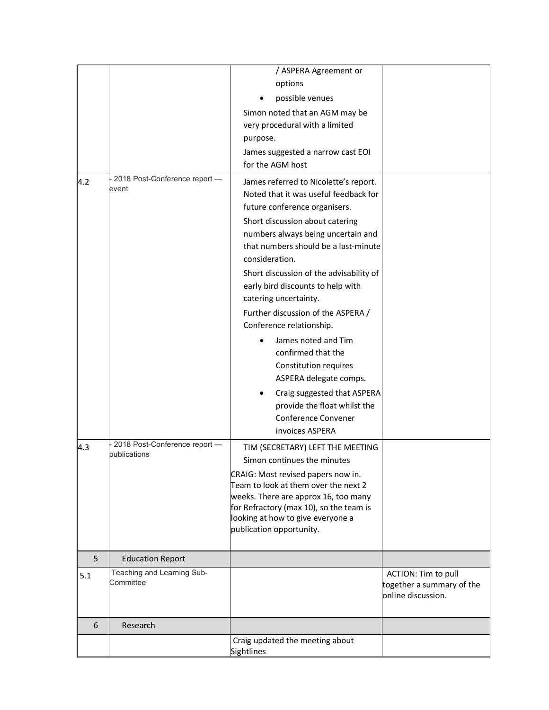|     |                                        | / ASPERA Agreement or                                                      |                           |
|-----|----------------------------------------|----------------------------------------------------------------------------|---------------------------|
|     |                                        | options                                                                    |                           |
|     |                                        | possible venues                                                            |                           |
|     |                                        | Simon noted that an AGM may be                                             |                           |
|     |                                        | very procedural with a limited                                             |                           |
|     |                                        |                                                                            |                           |
|     |                                        | purpose.                                                                   |                           |
|     |                                        | James suggested a narrow cast EOI                                          |                           |
|     |                                        | for the AGM host                                                           |                           |
| 4.2 | 2018 Post-Conference report -<br>event | James referred to Nicolette's report.                                      |                           |
|     |                                        | Noted that it was useful feedback for                                      |                           |
|     |                                        | future conference organisers.                                              |                           |
|     |                                        | Short discussion about catering                                            |                           |
|     |                                        | numbers always being uncertain and                                         |                           |
|     |                                        | that numbers should be a last-minute                                       |                           |
|     |                                        | consideration.                                                             |                           |
|     |                                        | Short discussion of the advisability of                                    |                           |
|     |                                        | early bird discounts to help with                                          |                           |
|     |                                        | catering uncertainty.                                                      |                           |
|     |                                        | Further discussion of the ASPERA /                                         |                           |
|     |                                        | Conference relationship.                                                   |                           |
|     |                                        | James noted and Tim                                                        |                           |
|     |                                        | confirmed that the                                                         |                           |
|     |                                        | Constitution requires                                                      |                           |
|     |                                        | ASPERA delegate comps.                                                     |                           |
|     |                                        | Craig suggested that ASPERA                                                |                           |
|     |                                        | provide the float whilst the                                               |                           |
|     |                                        | Conference Convener                                                        |                           |
|     |                                        | invoices ASPERA                                                            |                           |
|     | 2018 Post-Conference report -          |                                                                            |                           |
| 4.3 | publications                           | TIM (SECRETARY) LEFT THE MEETING<br>Simon continues the minutes            |                           |
|     |                                        |                                                                            |                           |
|     |                                        | CRAIG: Most revised papers now in.<br>Team to look at them over the next 2 |                           |
|     |                                        | weeks. There are approx 16, too many                                       |                           |
|     |                                        | for Refractory (max 10), so the team is                                    |                           |
|     |                                        | looking at how to give everyone a                                          |                           |
|     |                                        | publication opportunity.                                                   |                           |
|     |                                        |                                                                            |                           |
| 5   | <b>Education Report</b>                |                                                                            |                           |
| 5.1 | Teaching and Learning Sub-             |                                                                            | ACTION: Tim to pull       |
|     | Committee                              |                                                                            | together a summary of the |
|     |                                        |                                                                            | online discussion.        |
|     |                                        |                                                                            |                           |
| 6   | Research                               |                                                                            |                           |
|     |                                        | Craig updated the meeting about                                            |                           |
|     |                                        | Sightlines                                                                 |                           |